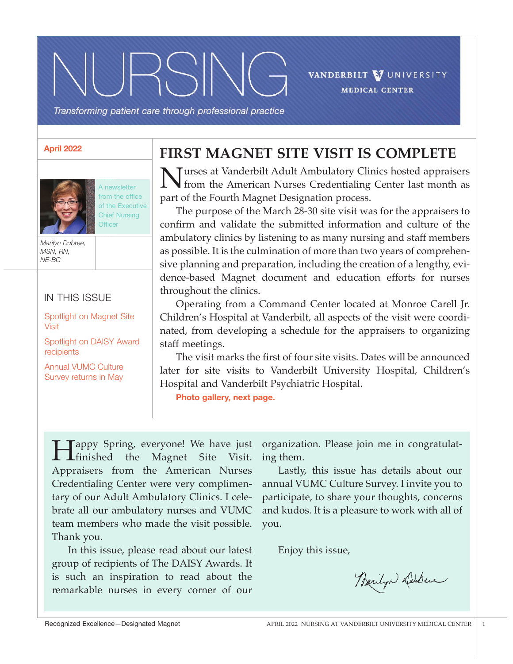VANDERBILT V UNIVERSITY **MEDICAL CENTER** 

Transforming patient care through professional practice

 $|PSN|$ 

#### **April 2022**



A newsletter from the office of the Executive Chief Nursing **Officer** 

*Marilyn Dubree, MSN, RN, NE-BC*

### IN THIS ISSUE

Spotlight on Magnet Site Visit

Spotlight on DAISY Award recipients

Annual VUMC Culture Survey returns in May

### **FIRST MAGNET SITE VISIT IS COMPLETE**

Turses at Vanderbilt Adult Ambulatory Clinics hosted appraisers from the American Nurses Credentialing Center last month as part of the Fourth Magnet Designation process.

 The purpose of the March 28-30 site visit was for the appraisers to confirm and validate the submitted information and culture of the ambulatory clinics by listening to as many nursing and staff members as possible. It is the culmination of more than two years of comprehensive planning and preparation, including the creation of a lengthy, evidence-based Magnet document and education efforts for nurses throughout the clinics.

 Operating from a Command Center located at Monroe Carell Jr. Children's Hospital at Vanderbilt, all aspects of the visit were coordinated, from developing a schedule for the appraisers to organizing staff meetings.

 The visit marks the first of four site visits. Dates will be announced later for site visits to Vanderbilt University Hospital, Children's Hospital and Vanderbilt Psychiatric Hospital.

**Photo gallery, next page.**

Happy Spring, everyone! We have just finished the Magnet Site Visit. Appraisers from the American Nurses Credentialing Center were very complimentary of our Adult Ambulatory Clinics. I celebrate all our ambulatory nurses and VUMC team members who made the visit possible. Thank you.

 In this issue, please read about our latest group of recipients of The DAISY Awards. It is such an inspiration to read about the remarkable nurses in every corner of our

organization. Please join me in congratulating them.

 Lastly, this issue has details about our annual VUMC Culture Survey. I invite you to participate, to share your thoughts, concerns and kudos. It is a pleasure to work with all of you.

Enjoy this issue,

Barilyn Dubuc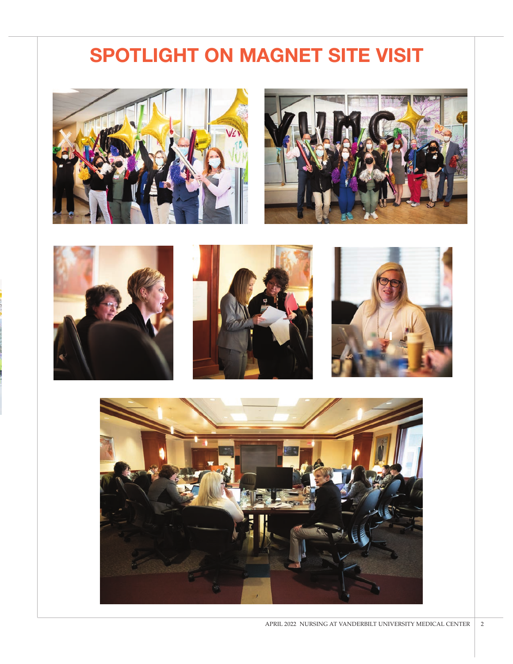## **SPOTLIGHT ON MAGNET SITE VISIT**











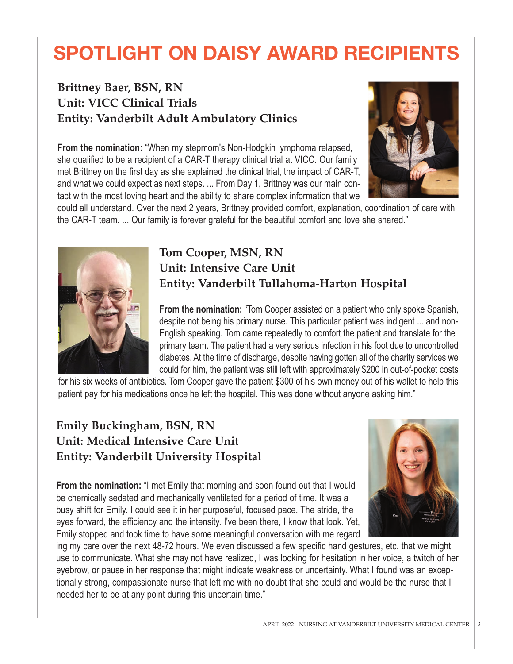# **SPOTLIGHT ON DAISY AWARD RECIPIENTS**

## **Brittney Baer, BSN, RN Unit: VICC Clinical Trials Entity: Vanderbilt Adult Ambulatory Clinics**

**From the nomination:** "When my stepmom's Non-Hodgkin lymphoma relapsed, she qualified to be a recipient of a CAR-T therapy clinical trial at VICC. Our family met Brittney on the first day as she explained the clinical trial, the impact of CAR-T, and what we could expect as next steps. ... From Day 1, Brittney was our main contact with the most loving heart and the ability to share complex information that we



could all understand. Over the next 2 years, Brittney provided comfort, explanation, coordination of care with the CAR-T team. ... Our family is forever grateful for the beautiful comfort and love she shared."



### **Tom Cooper, MSN, RN Unit: Intensive Care Unit Entity: Vanderbilt Tullahoma-Harton Hospital**

**From the nomination:** "Tom Cooper assisted on a patient who only spoke Spanish, despite not being his primary nurse. This particular patient was indigent ... and non-English speaking. Tom came repeatedly to comfort the patient and translate for the primary team. The patient had a very serious infection in his foot due to uncontrolled diabetes. At the time of discharge, despite having gotten all of the charity services we could for him, the patient was still left with approximately \$200 in out-of-pocket costs

for his six weeks of antibiotics. Tom Cooper gave the patient \$300 of his own money out of his wallet to help this patient pay for his medications once he left the hospital. This was done without anyone asking him."

### **Emily Buckingham, BSN, RN Unit: Medical Intensive Care Unit Entity: Vanderbilt University Hospital**



**From the nomination:** "I met Emily that morning and soon found out that I would be chemically sedated and mechanically ventilated for a period of time. It was a busy shift for Emily. I could see it in her purposeful, focused pace. The stride, the eyes forward, the efficiency and the intensity. I've been there, I know that look. Yet, Emily stopped and took time to have some meaningful conversation with me regard

ing my care over the next 48-72 hours. We even discussed a few specific hand gestures, etc. that we might use to communicate. What she may not have realized, I was looking for hesitation in her voice, a twitch of her eyebrow, or pause in her response that might indicate weakness or uncertainty. What I found was an exceptionally strong, compassionate nurse that left me with no doubt that she could and would be the nurse that I needed her to be at any point during this uncertain time."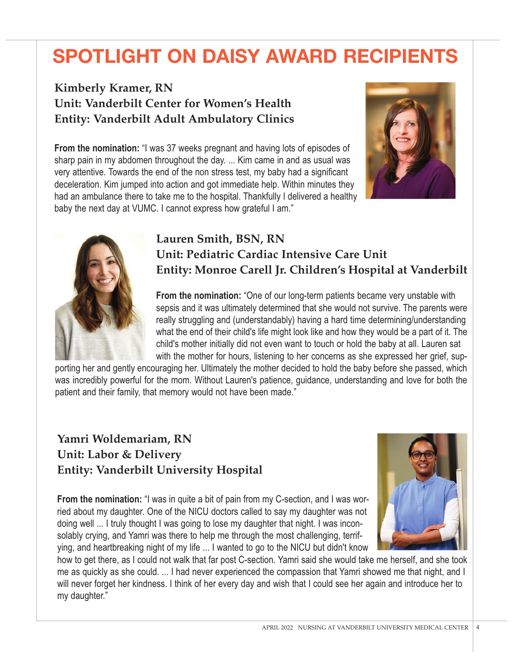# **SPOTLIGHT ON DAISY AWARD RECIPIENTS**

### **Kimberly Kramer, RN Unit: Vanderbilt Center for Women's Health Entity: Vanderbilt Adult Ambulatory Clinics**

**From the nomination:** "I was 37 weeks pregnant and having lots of episodes of sharp pain in my abdomen throughout the day. ... Kim came in and as usual was very attentive. Towards the end of the non stress test, my baby had a significant deceleration. Kim jumped into action and got immediate help. Within minutes they had an ambulance there to take me to the hospital. Thankfully I delivered a healthy baby the next day at VUMC. I cannot express how grateful I am."





### **Lauren Smith, BSN, RN Unit: Pediatric Cardiac Intensive Care Unit Entity: Monroe Carell Jr. Children's Hospital at Vanderbilt**

**From the nomination:** "One of our long-term patients became very unstable with sepsis and it was ultimately determined that she would not survive. The parents were really struggling and (understandably) having a hard time determining/understanding what the end of their child's life might look like and how they would be a part of it. The child's mother initially did not even want to touch or hold the baby at all. Lauren sat with the mother for hours, listening to her concerns as she expressed her grief, sup-

porting her and gently encouraging her. Ultimately the mother decided to hold the baby before she passed, which was incredibly powerful for the mom. Without Lauren's patience, guidance, understanding and love for both the patient and their family, that memory would not have been made."

### **Yamri Woldemariam, RN Unit: Labor & Delivery Entity: Vanderbilt University Hospital**

**From the nomination:** "I was in quite a bit of pain from my C-section, and I was worried about my daughter. One of the NICU doctors called to say my daughter was not doing well ... I truly thought I was going to lose my daughter that night. I was inconsolably crying, and Yamri was there to help me through the most challenging, terrifying, and heartbreaking night of my life ... I wanted to go to the NICU but didn't know



how to get there, as I could not walk that far post C-section. Yamri said she would take me herself, and she took me as quickly as she could. ... I had never experienced the compassion that Yamri showed me that night, and I will never forget her kindness. I think of her every day and wish that I could see her again and introduce her to my daughter."